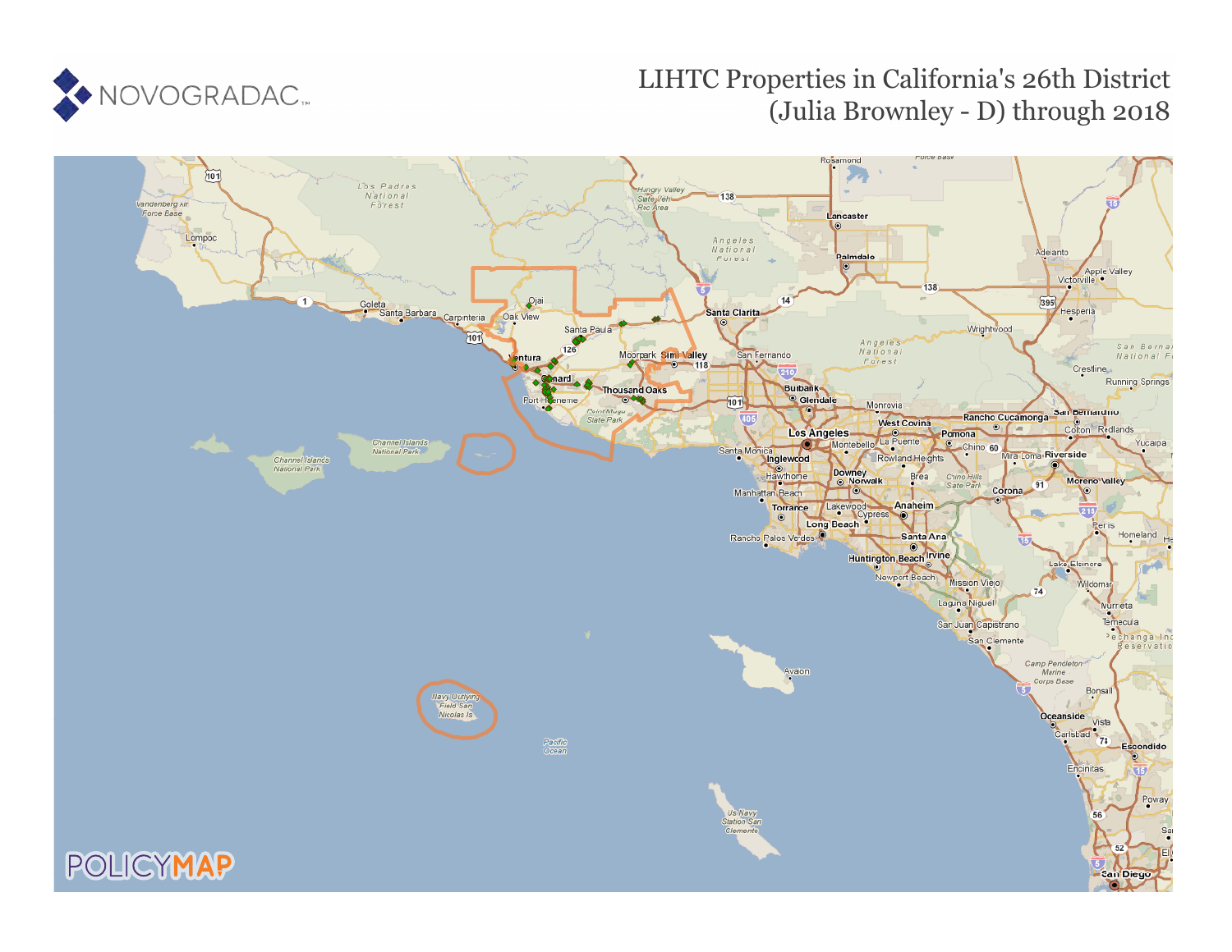

# LIHTC Properties in California's 26th District (Julia Brownley - D) through 2018

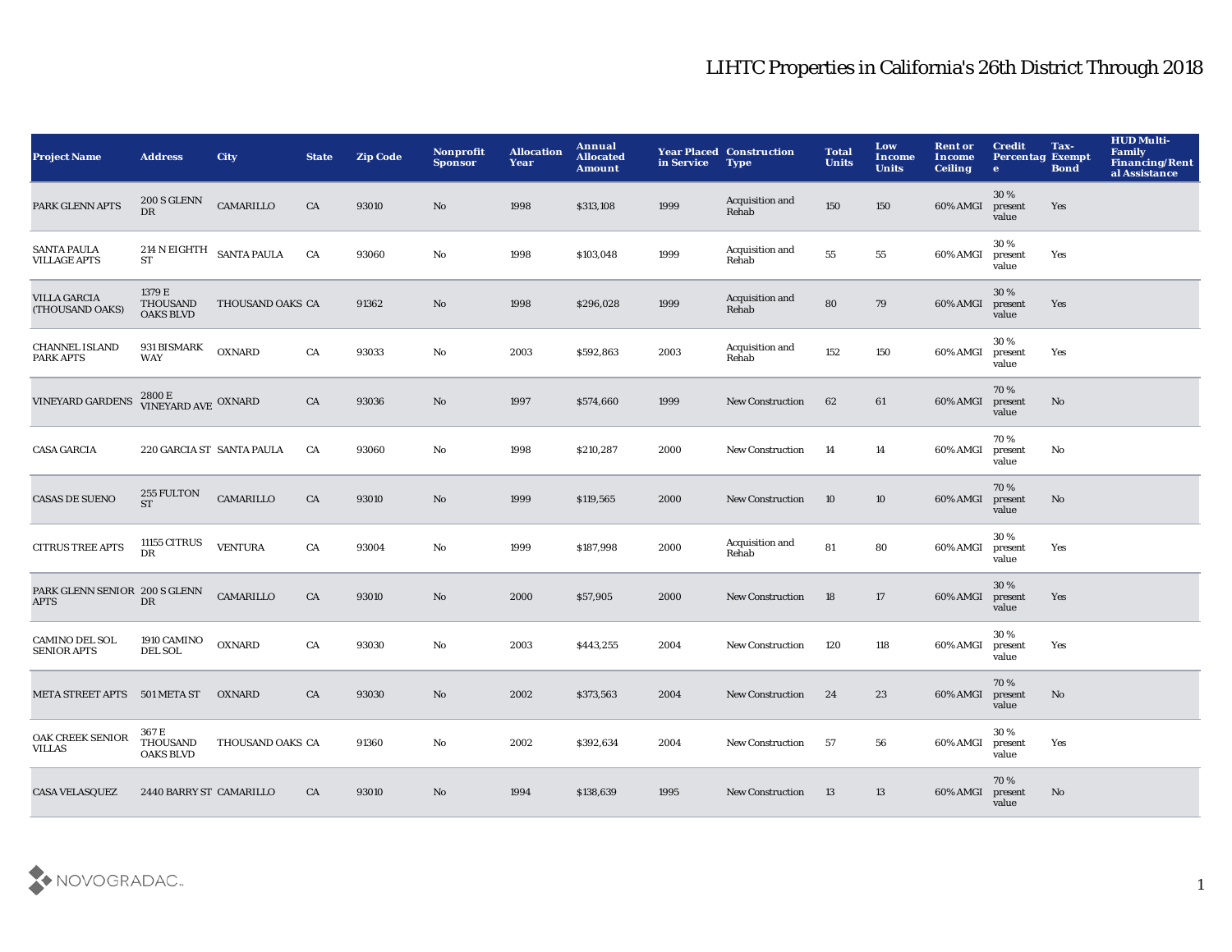| <b>Project Name</b>                          | <b>Address</b>                               | <b>City</b>      | <b>State</b> | <b>Zip Code</b> | Nonprofit<br><b>Sponsor</b> | <b>Allocation</b><br>Year | Annual<br><b>Allocated</b><br>Amount | in Service | <b>Year Placed Construction</b><br><b>Type</b> | <b>Total</b><br><b>Units</b> | Low<br><b>Income</b><br><b>Units</b> | <b>Rent or</b><br>Income<br><b>Ceiling</b> | <b>Credit</b><br><b>Percentag Exempt</b><br>$\bullet$ | Tax-<br><b>Bond</b> | <b>HUD Multi-</b><br><b>Family</b><br><b>Financing/Rent</b><br>al Assistance |
|----------------------------------------------|----------------------------------------------|------------------|--------------|-----------------|-----------------------------|---------------------------|--------------------------------------|------------|------------------------------------------------|------------------------------|--------------------------------------|--------------------------------------------|-------------------------------------------------------|---------------------|------------------------------------------------------------------------------|
| PARK GLENN APTS                              | 200 S GLENN<br><b>DR</b>                     | CAMARILLO        | CA           | 93010           | No                          | 1998                      | \$313,108                            | 1999       | Acquisition and<br>Rehab                       | 150                          | 150                                  | 60% AMGI                                   | 30 %<br>present<br>value                              | Yes                 |                                                                              |
| <b>SANTA PAULA</b><br><b>VILLAGE APTS</b>    | 214 N EIGHTH SANTA PAULA<br>ST               |                  | CA           | 93060           | No                          | 1998                      | \$103,048                            | 1999       | Acquisition and<br>Rehab                       | ${\bf 55}$                   | 55                                   | 60% AMGI                                   | 30%<br>present<br>value                               | Yes                 |                                                                              |
| <b>VILLA GARCIA</b><br>(THOUSAND OAKS)       | 1379 E<br>THOUSAND<br><b>OAKS BLVD</b>       | THOUSAND OAKS CA |              | 91362           | $\mathbf{N}\mathbf{o}$      | 1998                      | \$296,028                            | 1999       | Acquisition and<br>Rehab                       | 80                           | 79                                   | 60% AMGI                                   | 30%<br>present<br>value                               | Yes                 |                                                                              |
| <b>CHANNEL ISLAND</b><br>PARK APTS           | 931 BISMARK<br><b>WAY</b>                    | <b>OXNARD</b>    | CA           | 93033           | No                          | 2003                      | \$592,863                            | 2003       | Acquisition and<br>Rehab                       | 152                          | 150                                  | 60% AMGI                                   | 30%<br>present<br>value                               | Yes                 |                                                                              |
| <b>VINEYARD GARDENS</b>                      | $2800\,\mathrm{E}$ VINEYARD AVE OXNARD       |                  | CA           | 93036           | $\mathbf{No}$               | 1997                      | \$574,660                            | 1999       | <b>New Construction</b>                        | 62                           | 61                                   | 60% AMGI                                   | 70%<br>present<br>value                               | $\mathbf{No}$       |                                                                              |
| <b>CASA GARCIA</b>                           | 220 GARCIA ST SANTA PAULA                    |                  | CA           | 93060           | $\mathbf{No}$               | 1998                      | \$210,287                            | 2000       | <b>New Construction</b>                        | -14                          | 14                                   | 60% AMGI                                   | 70%<br>present<br>value                               | No                  |                                                                              |
| <b>CASAS DE SUENO</b>                        | 255 FULTON<br><b>ST</b>                      | CAMARILLO        | CA           | 93010           | No                          | 1999                      | \$119,565                            | 2000       | New Construction                               | 10                           | 10                                   | 60% AMGI                                   | 70%<br>present<br>value                               | $\mathbf{No}$       |                                                                              |
| <b>CITRUS TREE APTS</b>                      | 11155 CITRUS<br>DR                           | <b>VENTURA</b>   | CA           | 93004           | No                          | 1999                      | \$187,998                            | 2000       | Acquisition and<br>Rehab                       | 81                           | 80                                   | 60% AMGI                                   | 30 %<br>present<br>value                              | Yes                 |                                                                              |
| PARK GLENN SENIOR 200 S GLENN<br><b>APTS</b> | DR                                           | CAMARILLO        | CA           | 93010           | No                          | 2000                      | \$57,905                             | 2000       | <b>New Construction</b>                        | 18                           | 17                                   | 60% AMGI                                   | 30%<br>present<br>value                               | Yes                 |                                                                              |
| CAMINO DEL SOL<br><b>SENIOR APTS</b>         | 1910 CAMINO<br><b>DEL SOL</b>                | <b>OXNARD</b>    | CA           | 93030           | No                          | 2003                      | \$443,255                            | 2004       | <b>New Construction</b>                        | 120                          | 118                                  | 60% AMGI                                   | 30%<br>present<br>value                               | Yes                 |                                                                              |
| META STREET APTS 501 META ST                 |                                              | <b>OXNARD</b>    | CA           | 93030           | No                          | 2002                      | \$373,563                            | 2004       | <b>New Construction</b>                        | 24                           | 23                                   | 60% AMGI                                   | 70%<br>present<br>value                               | No                  |                                                                              |
| OAK CREEK SENIOR<br>VILLAS                   | 367 E<br><b>THOUSAND</b><br><b>OAKS BLVD</b> | THOUSAND OAKS CA |              | 91360           | No                          | 2002                      | \$392,634                            | 2004       | <b>New Construction</b>                        | -57                          | 56                                   | 60% AMGI                                   | 30%<br>present<br>value                               | Yes                 |                                                                              |
| <b>CASA VELASQUEZ</b>                        | 2440 BARRY ST CAMARILLO                      |                  | CA           | 93010           | No                          | 1994                      | \$138,639                            | 1995       | <b>New Construction</b>                        | 13                           | 13                                   | 60% AMGI                                   | 70%<br>present<br>value                               | No                  |                                                                              |

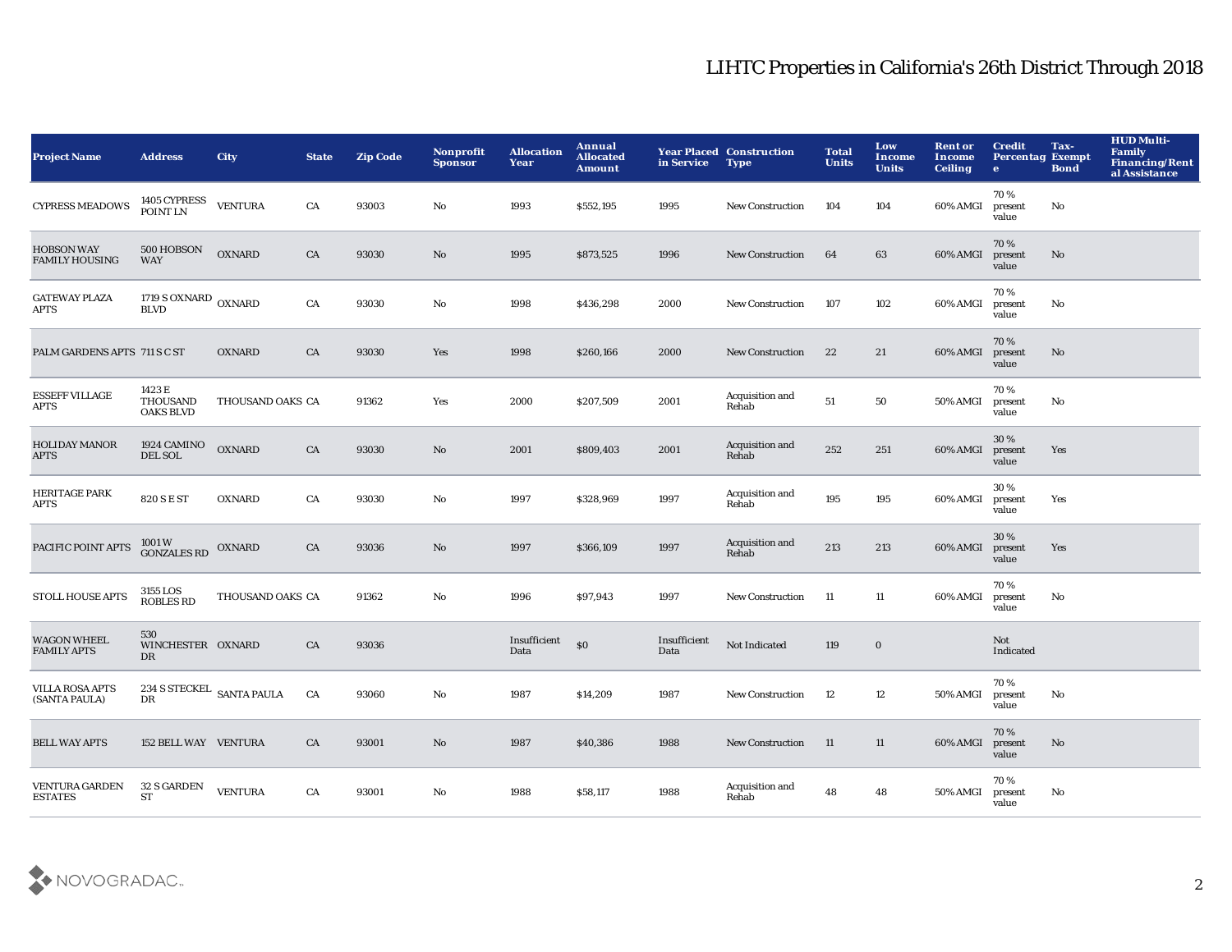| <b>Project Name</b>                        | <b>Address</b>                                | <b>City</b>      | <b>State</b> | <b>Zip Code</b> | Nonprofit<br><b>Sponsor</b> | <b>Allocation</b><br>Year | Annual<br><b>Allocated</b><br><b>Amount</b> | in Service           | <b>Year Placed Construction</b><br><b>Type</b> | <b>Total</b><br><b>Units</b> | Low<br><b>Income</b><br><b>Units</b> | <b>Rent or</b><br>Income<br><b>Ceiling</b> | <b>Credit</b><br><b>Percentag Exempt</b><br>$\bullet$ | Tax-<br><b>Bond</b> | <b>HUD Multi-</b><br><b>Family</b><br>Financing/Rent<br>al Assistance |
|--------------------------------------------|-----------------------------------------------|------------------|--------------|-----------------|-----------------------------|---------------------------|---------------------------------------------|----------------------|------------------------------------------------|------------------------------|--------------------------------------|--------------------------------------------|-------------------------------------------------------|---------------------|-----------------------------------------------------------------------|
| <b>CYPRESS MEADOWS</b>                     | 1405 CYPRESS<br>POINT LN                      | <b>VENTURA</b>   | CA           | 93003           | No                          | 1993                      | \$552,195                                   | 1995                 | <b>New Construction</b>                        | 104                          | 104                                  | 60% AMGI                                   | 70%<br>present<br>value                               | No                  |                                                                       |
| <b>HOBSON WAY</b><br><b>FAMILY HOUSING</b> | 500 HOBSON<br><b>WAY</b>                      | <b>OXNARD</b>    | CA           | 93030           | $\mathbf{N}\mathbf{o}$      | 1995                      | \$873,525                                   | 1996                 | <b>New Construction</b>                        | 64                           | 63                                   | 60% AMGI                                   | 70%<br>present<br>value                               | No                  |                                                                       |
| <b>GATEWAY PLAZA</b><br><b>APTS</b>        | $1719$ S OXNARD $\,$ OXNARD $\,$ BLVD         |                  | CA           | 93030           | $\rm No$                    | 1998                      | \$436,298                                   | 2000                 | <b>New Construction</b>                        | 107                          | 102                                  | 60% AMGI                                   | 70%<br>present<br>value                               | No                  |                                                                       |
| PALM GARDENS APTS 711 S C ST               |                                               | <b>OXNARD</b>    | CA           | 93030           | Yes                         | 1998                      | \$260,166                                   | 2000                 | <b>New Construction</b>                        | 22                           | 21                                   | 60% AMGI                                   | 70%<br>present<br>value                               | No                  |                                                                       |
| <b>ESSEFF VILLAGE</b><br><b>APTS</b>       | 1423 E<br><b>THOUSAND</b><br><b>OAKS BLVD</b> | THOUSAND OAKS CA |              | 91362           | Yes                         | 2000                      | \$207,509                                   | 2001                 | Acquisition and<br>Rehab                       | 51                           | 50                                   | 50% AMGI                                   | 70%<br>present<br>value                               | No                  |                                                                       |
| <b>HOLIDAY MANOR</b><br><b>APTS</b>        | 1924 CAMINO<br>DEL SOL                        | <b>OXNARD</b>    | CA           | 93030           | No                          | 2001                      | \$809,403                                   | 2001                 | Acquisition and<br>Rehab                       | 252                          | 251                                  | 60% AMGI                                   | 30%<br>present<br>value                               | Yes                 |                                                                       |
| <b>HERITAGE PARK</b><br>APTS               | 820 S E ST                                    | <b>OXNARD</b>    | CA           | 93030           | $\rm No$                    | 1997                      | \$328,969                                   | 1997                 | Acquisition and<br>Rehab                       | 195                          | 195                                  | 60% AMGI                                   | 30%<br>present<br>value                               | Yes                 |                                                                       |
| PACIFIC POINT APTS                         | 1001 W<br>GONZALES RD OXNARD                  |                  | CA           | 93036           | No                          | 1997                      | \$366,109                                   | 1997                 | Acquisition and<br>Rehab                       | 213                          | 213                                  | 60% AMGI                                   | 30 %<br>present<br>value                              | Yes                 |                                                                       |
| STOLL HOUSE APTS                           | 3155 LOS<br><b>ROBLES RD</b>                  | THOUSAND OAKS CA |              | 91362           | No                          | 1996                      | \$97,943                                    | 1997                 | New Construction                               | - 11                         | 11                                   | 60% AMGI                                   | 70%<br>present<br>value                               | No                  |                                                                       |
| <b>WAGON WHEEL</b><br><b>FAMILY APTS</b>   | 530<br>WINCHESTER OXNARD<br>DR                |                  | CA           | 93036           |                             | Insufficient<br>Data      | $\$0$                                       | Insufficient<br>Data | Not Indicated                                  | 119                          | $\mathbf 0$                          |                                            | Not<br>Indicated                                      |                     |                                                                       |
| <b>VILLA ROSA APTS</b><br>(SANTA PAULA)    | 234 S STECKEL SANTA PAULA<br>DR               |                  | CA           | 93060           | No                          | 1987                      | \$14,209                                    | 1987                 | New Construction                               | 12                           | 12                                   | 50% AMGI                                   | 70%<br>present<br>value                               | No                  |                                                                       |
| <b>BELL WAY APTS</b>                       | 152 BELL WAY VENTURA                          |                  | CA           | 93001           | No                          | 1987                      | \$40,386                                    | 1988                 | <b>New Construction</b>                        | -11                          | 11                                   | 60% AMGI                                   | 70%<br>present<br>value                               | No                  |                                                                       |
| <b>VENTURA GARDEN</b><br><b>ESTATES</b>    | 32 S GARDEN<br><b>ST</b>                      | <b>VENTURA</b>   | CA           | 93001           | No                          | 1988                      | \$58,117                                    | 1988                 | Acquisition and<br>Rehab                       | 48                           | 48                                   | 50% AMGI                                   | 70%<br>present<br>value                               | No                  |                                                                       |

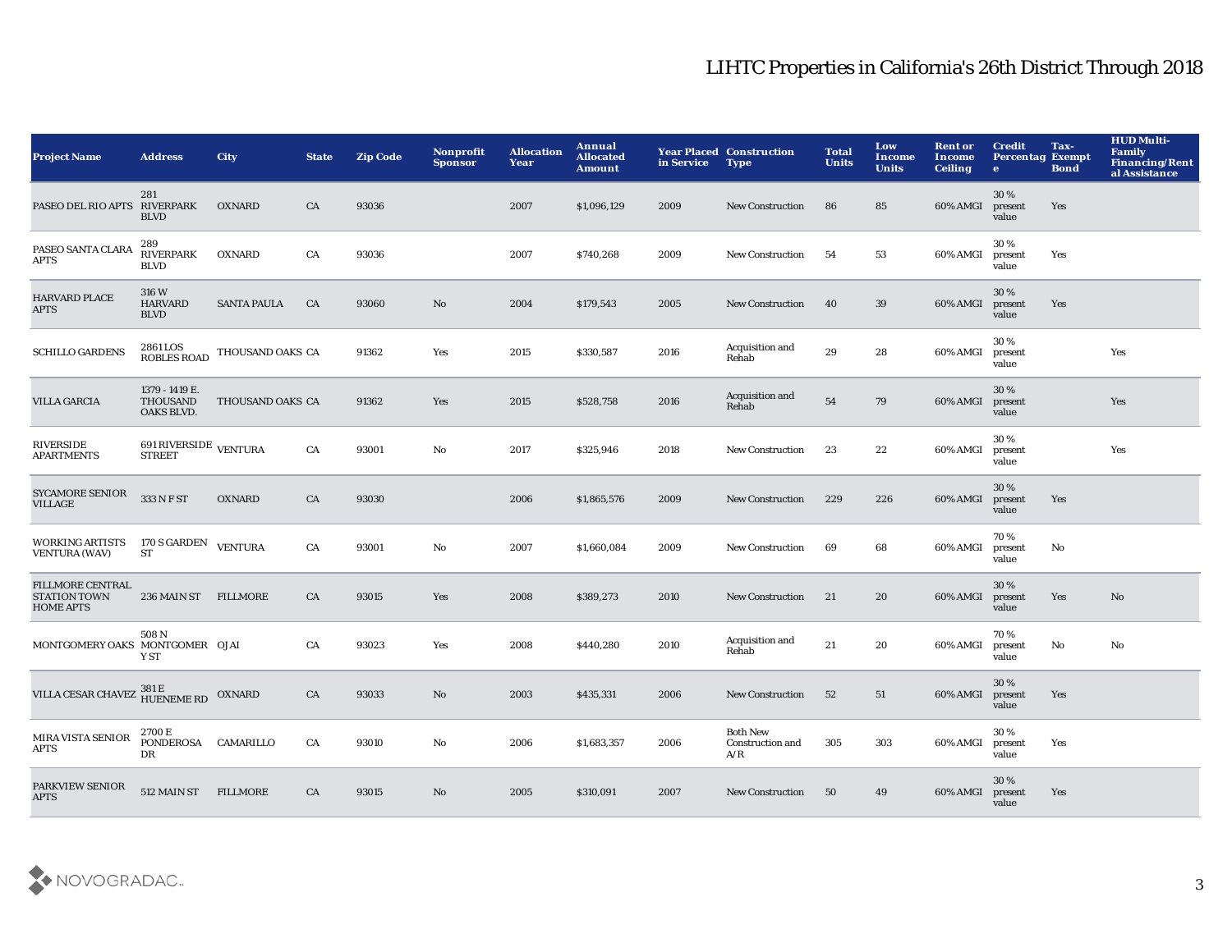| <b>Project Name</b>                                                      | <b>Address</b>                                  | <b>City</b>        | <b>State</b> | <b>Zip Code</b> | Nonprofit<br><b>Sponsor</b> | <b>Allocation</b><br>Year | Annual<br><b>Allocated</b><br><b>Amount</b> | in Service | <b>Year Placed Construction</b><br><b>Type</b>    | <b>Total</b><br><b>Units</b> | Low<br><b>Income</b><br><b>Units</b> | <b>Rent or</b><br>Income<br><b>Ceiling</b> | <b>Credit</b><br><b>Percentag Exempt</b><br>$\bullet$ | Tax-<br><b>Bond</b> | <b>HUD Multi-</b><br><b>Family</b><br>Financing/Rent<br>al Assistance |
|--------------------------------------------------------------------------|-------------------------------------------------|--------------------|--------------|-----------------|-----------------------------|---------------------------|---------------------------------------------|------------|---------------------------------------------------|------------------------------|--------------------------------------|--------------------------------------------|-------------------------------------------------------|---------------------|-----------------------------------------------------------------------|
| PASEO DEL RIO APTS                                                       | 281<br><b>RIVERPARK</b><br><b>BLVD</b>          | <b>OXNARD</b>      | CA           | 93036           |                             | 2007                      | \$1,096,129                                 | 2009       | <b>New Construction</b>                           | 86                           | 85                                   | 60% AMGI                                   | 30%<br>present<br>value                               | Yes                 |                                                                       |
| PASEO SANTA CLARA<br>APTS                                                | 289<br><b>RIVERPARK</b><br><b>BLVD</b>          | <b>OXNARD</b>      | CA           | 93036           |                             | 2007                      | \$740,268                                   | 2009       | <b>New Construction</b>                           | -54                          | 53                                   | 60% AMGI                                   | 30%<br>present<br>value                               | Yes                 |                                                                       |
| HARVARD PLACE<br><b>APTS</b>                                             | 316 W<br><b>HARVARD</b><br><b>BLVD</b>          | <b>SANTA PAULA</b> | CA           | 93060           | $\mathbf{N}\mathbf{o}$      | 2004                      | \$179,543                                   | 2005       | <b>New Construction</b>                           | 40                           | 39                                   | 60% AMGI                                   | 30 %<br>present<br>value                              | Yes                 |                                                                       |
| <b>SCHILLO GARDENS</b>                                                   | 2861 LOS<br><b>ROBLES ROAD</b>                  | THOUSAND OAKS CA   |              | 91362           | Yes                         | 2015                      | \$330,587                                   | 2016       | Acquisition and<br>Rehab                          | 29                           | 28                                   | 60% AMGI                                   | 30%<br>present<br>value                               |                     | Yes                                                                   |
| <b>VILLA GARCIA</b>                                                      | 1379 - 1419 E.<br><b>THOUSAND</b><br>OAKS BLVD. | THOUSAND OAKS CA   |              | 91362           | Yes                         | 2015                      | \$528,758                                   | 2016       | Acquisition and<br>Rehab                          | 54                           | 79                                   | 60% AMGI                                   | 30%<br>present<br>value                               |                     | Yes                                                                   |
| <b>RIVERSIDE</b><br><b>APARTMENTS</b>                                    | 691 RIVERSIDE VENTURA<br><b>STREET</b>          |                    | ${\rm CA}$   | 93001           | No                          | 2017                      | \$325,946                                   | 2018       | <b>New Construction</b>                           | 23                           | 22                                   | 60% AMGI                                   | 30%<br>present<br>value                               |                     | Yes                                                                   |
| SYCAMORE SENIOR<br><b>VILLAGE</b>                                        | 333 N F ST                                      | <b>OXNARD</b>      | CA           | 93030           |                             | 2006                      | \$1,865,576                                 | 2009       | New Construction                                  | 229                          | 226                                  | 60% AMGI                                   | 30%<br>present<br>value                               | Yes                 |                                                                       |
| <b>WORKING ARTISTS</b><br><b>VENTURA (WAV)</b>                           | 170 S GARDEN<br>ST                              | <b>VENTURA</b>     | CA           | 93001           | No                          | 2007                      | \$1,660,084                                 | 2009       | <b>New Construction</b>                           | 69                           | 68                                   | 60% AMGI                                   | 70%<br>present<br>value                               | No                  |                                                                       |
| <b>FILLMORE CENTRAL</b><br><b>STATION TOWN</b><br><b>HOME APTS</b>       | 236 MAIN ST FILLMORE                            |                    | CA           | 93015           | Yes                         | 2008                      | \$389,273                                   | 2010       | <b>New Construction</b>                           | 21                           | 20                                   | 60% AMGI                                   | 30%<br>present<br>value                               | Yes                 | $\mathbf{N}\mathbf{o}$                                                |
| MONTGOMERY OAKS MONTGOMER OJAI                                           | 508 N<br>Y ST                                   |                    | CA           | 93023           | Yes                         | 2008                      | \$440,280                                   | 2010       | Acquisition and<br>Rehab                          | $21\,$                       | 20                                   | 60% AMGI                                   | 70%<br>present<br>value                               | No                  | No                                                                    |
| VILLA CESAR CHAVEZ $\frac{381\,\mathrm{E}}{\mathrm{HUENEME\,RD}}$ OXNARD |                                                 |                    | CA           | 93033           | No                          | 2003                      | \$435,331                                   | 2006       | <b>New Construction</b>                           | 52                           | 51                                   | 60% AMGI                                   | 30 %<br>present<br>value                              | Yes                 |                                                                       |
| <b>MIRA VISTA SENIOR</b><br>APTS                                         | 2700 E<br><b>PONDEROSA</b><br>DR                | CAMARILLO          | CA           | 93010           | No                          | 2006                      | \$1,683,357                                 | 2006       | <b>Both New</b><br><b>Construction and</b><br>A/R | 305                          | 303                                  | 60% AMGI                                   | 30%<br>present<br>value                               | Yes                 |                                                                       |
| PARKVIEW SENIOR<br><b>APTS</b>                                           | 512 MAIN ST                                     | <b>FILLMORE</b>    | CA           | 93015           | No                          | 2005                      | \$310,091                                   | 2007       | <b>New Construction</b>                           | 50                           | 49                                   | 60% AMGI                                   | 30%<br>present<br>value                               | Yes                 |                                                                       |

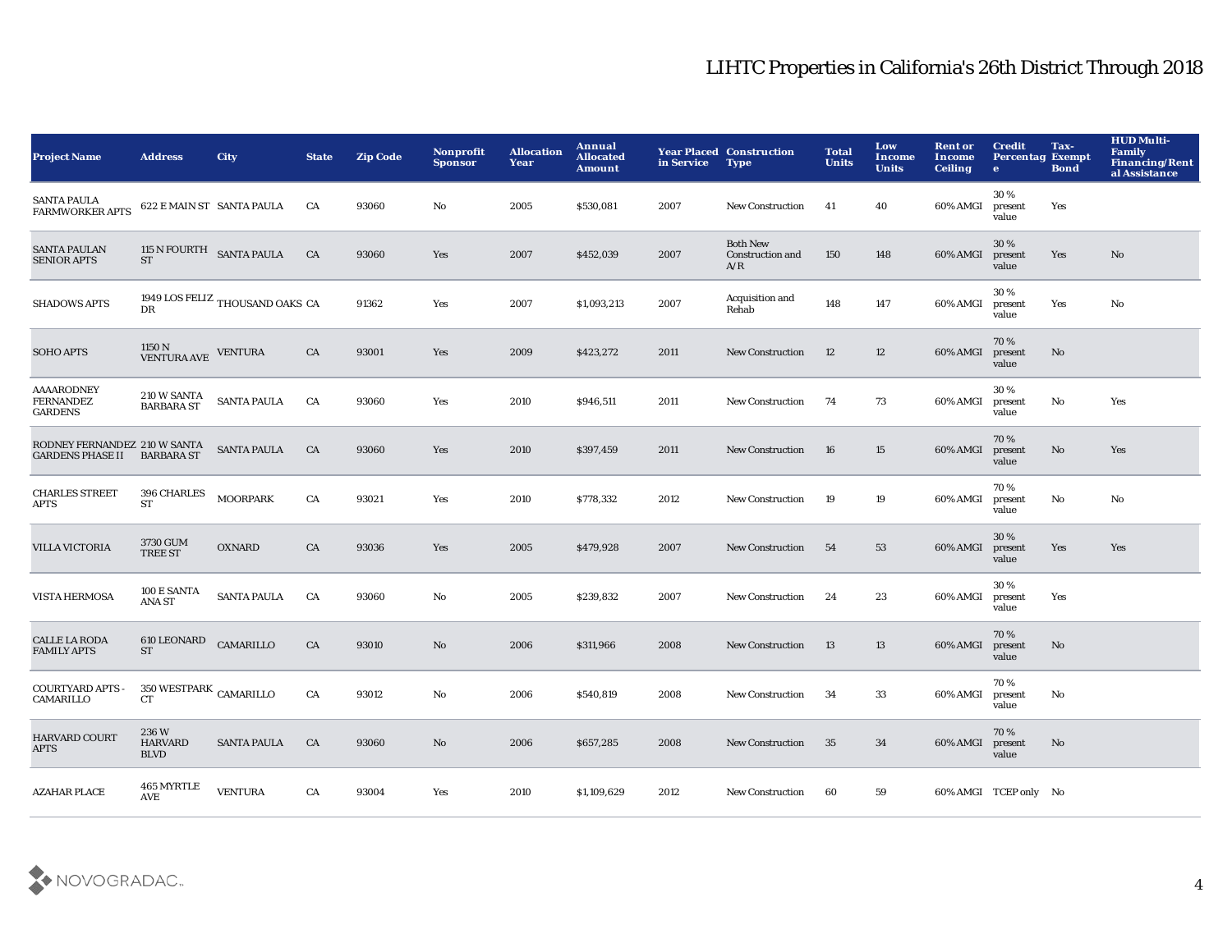| <b>Project Name</b>                                     | <b>Address</b>                        | <b>City</b>                     | <b>State</b> | <b>Zip Code</b> | <b>Nonprofit</b><br><b>Sponsor</b> | <b>Allocation</b><br>Year | Annual<br><b>Allocated</b><br><b>Amount</b> | in Service | <b>Year Placed Construction</b><br><b>Type</b>    | <b>Total</b><br><b>Units</b> | Low<br>Income<br><b>Units</b> | <b>Rent or</b><br>Income<br><b>Ceiling</b> | <b>Credit</b><br><b>Percentag Exempt</b><br>$\bullet$ | Tax-<br><b>Bond</b>    | <b>HUD Multi-</b><br>Family<br><b>Financing/Rent</b><br>al Assistance |
|---------------------------------------------------------|---------------------------------------|---------------------------------|--------------|-----------------|------------------------------------|---------------------------|---------------------------------------------|------------|---------------------------------------------------|------------------------------|-------------------------------|--------------------------------------------|-------------------------------------------------------|------------------------|-----------------------------------------------------------------------|
| <b>SANTA PAULA</b><br><b>FARMWORKER APTS</b>            | 622 E MAIN ST SANTA PAULA             |                                 | CA           | 93060           | No                                 | 2005                      | \$530,081                                   | 2007       | <b>New Construction</b>                           | 41                           | 40                            | 60% AMGI                                   | 30%<br>present<br>value                               | Yes                    |                                                                       |
| <b>SANTA PAULAN</b><br><b>SENIOR APTS</b>               | 115 N FOURTH SANTA PAULA<br><b>ST</b> |                                 | CA           | 93060           | Yes                                | 2007                      | \$452,039                                   | 2007       | <b>Both New</b><br><b>Construction and</b><br>A/R | 150                          | 148                           | 60% AMGI                                   | 30%<br>present<br>value                               | Yes                    | No                                                                    |
| <b>SHADOWS APTS</b>                                     | DR                                    | 1949 LOS FELIZ THOUSAND OAKS CA |              | 91362           | Yes                                | 2007                      | \$1,093,213                                 | 2007       | Acquisition and<br>Rehab                          | 148                          | 147                           | 60% AMGI                                   | 30%<br>present<br>value                               | Yes                    | No                                                                    |
| <b>SOHO APTS</b>                                        | 1150 N<br>VENTURA AVE                 | <b>VENTURA</b>                  | CA           | 93001           | Yes                                | 2009                      | \$423,272                                   | 2011       | <b>New Construction</b>                           | 12                           | 12                            | 60% AMGI                                   | 70%<br>present<br>value                               | $\mathbf{N}\mathbf{o}$ |                                                                       |
| <b>AAAARODNEY</b><br><b>FERNANDEZ</b><br><b>GARDENS</b> | 210 W SANTA<br><b>BARBARA ST</b>      | <b>SANTA PAULA</b>              | CA           | 93060           | Yes                                | 2010                      | \$946,511                                   | 2011       | New Construction                                  | 74                           | 73                            | 60% AMGI                                   | 30%<br>present<br>value                               | No                     | Yes                                                                   |
| RODNEY FERNANDEZ 210 W SANTA<br><b>GARDENS PHASE II</b> | <b>BARBARA ST</b>                     | <b>SANTA PAULA</b>              | CA           | 93060           | Yes                                | 2010                      | \$397,459                                   | 2011       | <b>New Construction</b>                           | 16                           | 15                            | 60% AMGI                                   | 70%<br>present<br>value                               | $\mathbf{N}\mathbf{o}$ | Yes                                                                   |
| <b>CHARLES STREET</b><br>APTS                           | 396 CHARLES<br>${\cal S}{\cal T}$     | <b>MOORPARK</b>                 | CA           | 93021           | Yes                                | 2010                      | \$778,332                                   | 2012       | <b>New Construction</b>                           | 19                           | 19                            | 60% AMGI                                   | 70%<br>present<br>value                               | No                     | No                                                                    |
| VILLA VICTORIA                                          | 3730 GUM<br>TREE ST                   | <b>OXNARD</b>                   | CA           | 93036           | Yes                                | 2005                      | \$479,928                                   | 2007       | New Construction                                  | 54                           | 53                            | 60% AMGI                                   | 30%<br>present<br>value                               | Yes                    | Yes                                                                   |
| <b>VISTA HERMOSA</b>                                    | 100 E SANTA<br><b>ANA ST</b>          | <b>SANTA PAULA</b>              | CA           | 93060           | No                                 | 2005                      | \$239,832                                   | 2007       | New Construction                                  | 24                           | 23                            | 60% AMGI                                   | 30%<br>present<br>value                               | Yes                    |                                                                       |
| <b>CALLE LA RODA</b><br><b>FAMILY APTS</b>              | 610 LEONARD<br><b>ST</b>              | CAMARILLO                       | CA           | 93010           | No                                 | 2006                      | \$311,966                                   | 2008       | <b>New Construction</b>                           | -13                          | 13                            | 60% AMGI                                   | 70%<br>present<br>value                               | No                     |                                                                       |
| <b>COURTYARD APTS -</b><br>CAMARILLO                    | $350\,{\rm WESTPARK}$ CAMARILLO<br>CT |                                 | ${\rm CA}$   | 93012           | No                                 | 2006                      | \$540,819                                   | 2008       | <b>New Construction</b>                           | 34                           | 33                            | 60% AMGI                                   | 70%<br>present<br>value                               | No                     |                                                                       |
| <b>HARVARD COURT</b><br><b>APTS</b>                     | 236W<br><b>HARVARD</b><br><b>BLVD</b> | <b>SANTA PAULA</b>              | CA           | 93060           | No                                 | 2006                      | \$657,285                                   | 2008       | <b>New Construction</b>                           | 35                           | 34                            | 60% AMGI                                   | 70%<br>present<br>value                               | No                     |                                                                       |
| <b>AZAHAR PLACE</b>                                     | 465 MYRTLE<br><b>AVE</b>              | <b>VENTURA</b>                  | CA           | 93004           | Yes                                | 2010                      | \$1,109,629                                 | 2012       | <b>New Construction</b>                           | 60                           | 59                            |                                            | 60% AMGI TCEP only No                                 |                        |                                                                       |

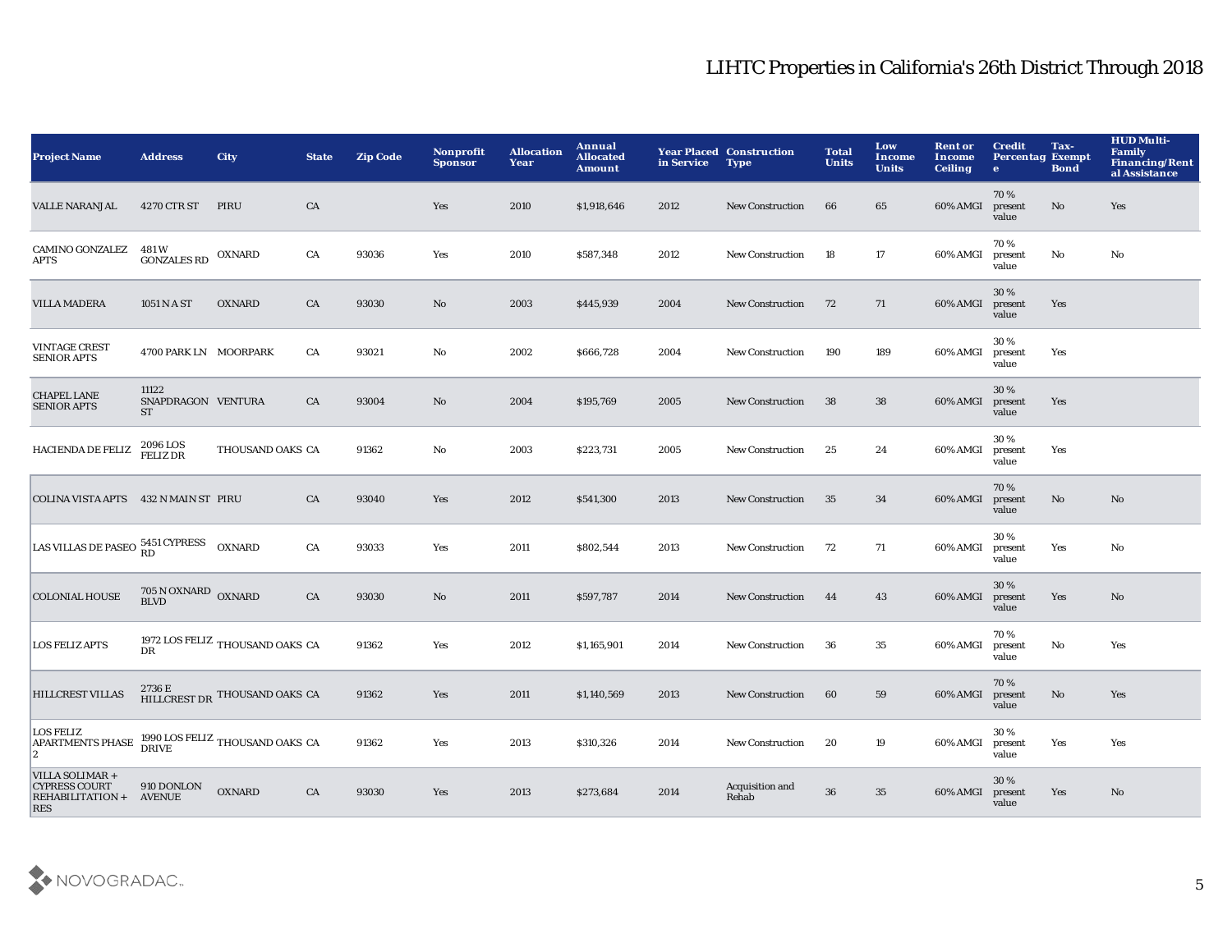| <b>Project Name</b>                                                             | <b>Address</b>                           | <b>City</b>                                      | <b>State</b> | <b>Zip Code</b> | Nonprofit<br><b>Sponsor</b> | <b>Allocation</b><br>Year | Annual<br><b>Allocated</b><br><b>Amount</b> | in Service | <b>Year Placed Construction</b><br><b>Type</b> | <b>Total</b><br><b>Units</b> | Low<br>Income<br><b>Units</b> | <b>Rent or</b><br>Income<br><b>Ceiling</b> | <b>Credit</b><br><b>Percentag Exempt</b><br>$\bullet$ | Tax-<br><b>Bond</b> | <b>HUD Multi-</b><br><b>Family</b><br><b>Financing/Rent</b><br>al Assistance |
|---------------------------------------------------------------------------------|------------------------------------------|--------------------------------------------------|--------------|-----------------|-----------------------------|---------------------------|---------------------------------------------|------------|------------------------------------------------|------------------------------|-------------------------------|--------------------------------------------|-------------------------------------------------------|---------------------|------------------------------------------------------------------------------|
| <b>VALLE NARANJAL</b>                                                           | 4270 CTR ST                              | PIRU                                             | CA           |                 | Yes                         | 2010                      | \$1,918,646                                 | 2012       | <b>New Construction</b>                        | 66                           | 65                            | 60% AMGI                                   | 70%<br>present<br>value                               | No                  | Yes                                                                          |
| <b>CAMINO GONZALEZ</b><br><b>APTS</b>                                           | 481 W<br><b>GONZALES RD</b>              | <b>OXNARD</b>                                    | CA           | 93036           | Yes                         | 2010                      | \$587,348                                   | 2012       | <b>New Construction</b>                        | 18                           | 17                            | 60% AMGI                                   | 70%<br>present<br>value                               | No                  | No                                                                           |
| <b>VILLA MADERA</b>                                                             | 1051 N A ST                              | <b>OXNARD</b>                                    | CA           | 93030           | No                          | 2003                      | \$445,939                                   | 2004       | <b>New Construction</b>                        | 72                           | 71                            | 60% AMGI                                   | 30%<br>present<br>value                               | Yes                 |                                                                              |
| <b>VINTAGE CREST</b><br><b>SENIOR APTS</b>                                      | 4700 PARK LN MOORPARK                    |                                                  | CA           | 93021           | No                          | 2002                      | \$666,728                                   | 2004       | <b>New Construction</b>                        | 190                          | 189                           | 60% AMGI                                   | 30%<br>present<br>value                               | Yes                 |                                                                              |
| <b>CHAPEL LANE</b><br><b>SENIOR APTS</b>                                        | 11122<br>SNAPDRAGON VENTURA<br><b>ST</b> |                                                  | CA           | 93004           | No                          | 2004                      | \$195,769                                   | 2005       | <b>New Construction</b>                        | 38                           | 38                            | 60% AMGI                                   | 30 %<br>present<br>value                              | Yes                 |                                                                              |
| <b>HACIENDA DE FELIZ</b>                                                        | 2096 LOS<br>FELIZ DR                     | THOUSAND OAKS CA                                 |              | 91362           | No                          | 2003                      | \$223,731                                   | 2005       | <b>New Construction</b>                        | 25                           | 24                            | 60% AMGI                                   | 30%<br>present<br>value                               | Yes                 |                                                                              |
| COLINA VISTA APTS 432 N MAIN ST PIRU                                            |                                          |                                                  | CA           | 93040           | Yes                         | 2012                      | \$541,300                                   | 2013       | <b>New Construction</b>                        | 35                           | 34                            | 60% AMGI                                   | 70%<br>present<br>value                               | No                  | No                                                                           |
| LAS VILLAS DE PASEO 5451 CYPRESS                                                |                                          | <b>OXNARD</b>                                    | CA           | 93033           | Yes                         | 2011                      | \$802,544                                   | 2013       | <b>New Construction</b>                        | 72                           | 71                            | 60% AMGI                                   | 30%<br>present<br>value                               | Yes                 | No                                                                           |
| <b>COLONIAL HOUSE</b>                                                           | 705 N OXNARD OXNARD<br><b>BLVD</b>       |                                                  | CA           | 93030           | No                          | 2011                      | \$597,787                                   | 2014       | <b>New Construction</b>                        | 44                           | 43                            | 60% AMGI                                   | 30 %<br>present<br>value                              | Yes                 | No                                                                           |
| <b>LOS FELIZ APTS</b>                                                           | <b>DR</b>                                | 1972 LOS FELIZ THOUSAND OAKS CA                  |              | 91362           | Yes                         | 2012                      | \$1,165,901                                 | 2014       | <b>New Construction</b>                        | 36                           | 35                            | 60% AMGI                                   | 70%<br>present<br>value                               | No                  | Yes                                                                          |
| <b>HILLCREST VILLAS</b>                                                         |                                          | $2736\,\mathrm{E}$ HILLCREST DR THOUSAND OAKS CA |              | 91362           | Yes                         | 2011                      | \$1,140,569                                 | 2013       | <b>New Construction</b>                        | 60                           | 59                            | 60% AMGI                                   | 70%<br>present<br>value                               | No                  | Yes                                                                          |
| <b>LOS FELIZ</b><br><b>APARTMENTS PHASE</b><br>$ 2\rangle$                      |                                          | 1990 LOS FELIZ THOUSAND OAKS CA DRIVE            |              | 91362           | Yes                         | 2013                      | \$310,326                                   | 2014       | <b>New Construction</b>                        | 20                           | 19                            | 60% AMGI                                   | $30\,\%$<br>present<br>value                          | Yes                 | Yes                                                                          |
| VILLA SOLIMAR+<br><b>CYPRESS COURT</b><br><b>REHABILITATION +</b><br><b>RES</b> | 910 DONLON<br><b>AVENUE</b>              | <b>OXNARD</b>                                    | CA           | 93030           | Yes                         | 2013                      | \$273,684                                   | 2014       | Acquisition and<br>Rehab                       | 36                           | 35                            | 60% AMGI                                   | 30%<br>present<br>value                               | Yes                 | No                                                                           |